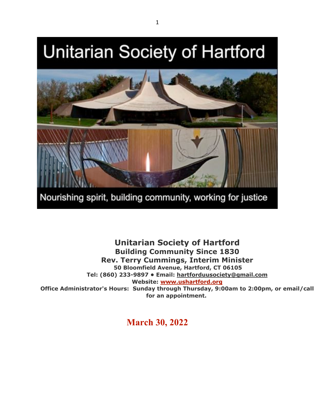# **Unitarian Society of Hartford**



Nourishing spirit, building community, working for justice

**Unitarian Society of Hartford Building Community Since 1830 Rev. Terry Cummings, Interim Minister 50 Bloomfield Avenue, Hartford, CT 06105 Tel: (860) 233-9897 • Email: hartforduusociety@gmail.com Website: www.ushartford.org Office Administrator's Hours: Sunday through Thursday, 9:00am to 2:00pm, or email/call for an appointment.**

**March 30, 2022**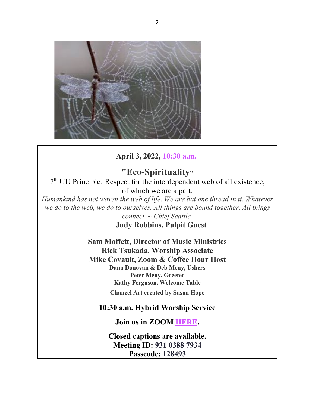

## **April 3, 2022, 10:30 a.m.**

**"Eco-Spirituality"** 7th UU Principle*:* Respect for the interdependent web of all existence, of which we are a part.

*Humankind has not woven the web of life. We are but one thread in it. Whatever we do to the web, we do to ourselves. All things are bound together. All things connect. ~ Chief Seattle*

**Judy Robbins, Pulpit Guest**

**Sam Moffett, Director of Music Ministries Rick Tsukada, Worship Associate Mike Covault, Zoom & Coffee Hour Host Dana Donovan & Deb Meny, Ushers Peter Meny, Greeter Kathy Ferguson, Welcome Table**

**Chancel Art created by Susan Hope**

### **10:30 a.m. Hybrid Worship Service**

**Join us in ZOOM HERE.**

**Closed captions are available. Meeting ID: 931 0388 7934 Passcode: 128493**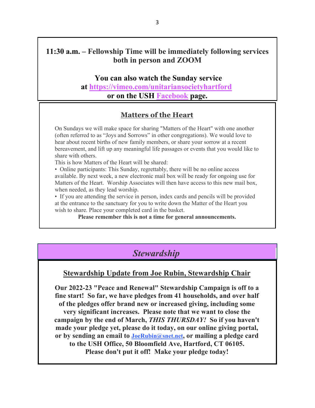### **11:30 a.m. – Fellowship Time will be immediately following services both in person and ZOOM**

#### **You can also watch the Sunday service**

**at https://vimeo.com/unitariansocietyhartford or on the USH Facebook page.**

### **Matters of the Heart**

On Sundays we will make space for sharing "Matters of the Heart" with one another (often referred to as "Joys and Sorrows" in other congregations). We would love to hear about recent births of new family members, or share your sorrow at a recent bereavement, and lift up any meaningful life passages or events that you would like to share with others.

This is how Matters of the Heart will be shared:

• Online participants: This Sunday, regrettably, there will be no online access available. By next week, a new electronic mail box will be ready for ongoing use for Matters of the Heart. Worship Associates will then have access to this new mail box, when needed, as they lead worship.

• If you are attending the service in person, index cards and pencils will be provided at the entrance to the sanctuary for you to write down the Matter of the Heart you wish to share. Place your completed card in the basket.

**Please remember this is not a time for general announcements.**

## *Stewardship*

### **Stewardship Update from Joe Rubin, Stewardship Chair**

**Our 2022-23 "Peace and Renewal" Stewardship Campaign is off to a fine start! So far, we have pledges from 41 households, and over half of the pledges offer brand new or increased giving, including some very significant increases. Please note that we want to close the campaign by the end of March,** *THIS THURSDAY!* **So if you haven't made your pledge yet, please do it today, on our online giving portal, or by sending an email to JoeRubin@snet.net, or mailing a pledge card to the USH Office, 50 Bloomfield Ave, Hartford, CT 06105. Please don't put it off! Make your pledge today!**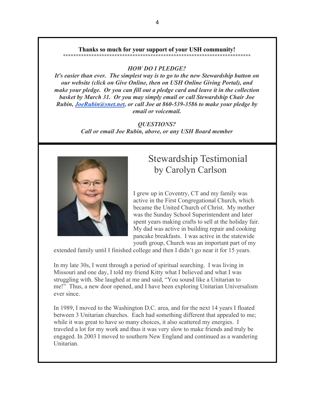#### **Thanks so much for your support of your USH community!**

**\*\*\*\*\*\*\*\*\*\*\*\*\*\*\*\*\*\*\*\*\*\*\*\*\*\*\*\*\*\*\*\*\*\*\*\*\*\*\*\*\*\*\*\*\*\*\*\*\*\*\*\*\*\*\*\*\*\*\*\*\*\*\*\*\*\*\*\*\*\*\*\*\***

### *HOW DO I PLEDGE?*

*It's easier than ever. The simplest way is to go to the new Stewardship button on our website (click on Give Online, then on USH Online Giving Portal), and make your pledge. Or you can fill out a pledge card and leave it in the collection basket by March 31. Or you may simply email or call Stewardship Chair Joe Rubin, JoeRubin@snet.net, or call Joe at 860-539-3586 to make your pledge by email or voicemail.*

> *QUESTIONS? Call or email Joe Rubin, above, or any USH Board member*



# Stewardship Testimonial by Carolyn Carlson

I grew up in Coventry, CT and my family was active in the First Congregational Church, which became the United Church of Christ. My mother was the Sunday School Superintendent and later spent years making crafts to sell at the holiday fair. My dad was active in building repair and cooking pancake breakfasts. I was active in the statewide youth group, Church was an important part of my

extended family until I finished college and then I didn't go near it for 15 years.

In my late 30s, I went through a period of spiritual searching. I was living in Missouri and one day, I told my friend Kitty what I believed and what I was struggling with. She laughed at me and said, "You sound like a Unitarian to me!" Thus, a new door opened, and I have been exploring Unitarian Universalism ever since.

In 1989, I moved to the Washington D.C. area, and for the next 14 years I floated between 3 Unitarian churches. Each had something different that appealed to me; while it was great to have so many choices, it also scattered my energies. I traveled a lot for my work and thus it was very slow to make friends and truly be engaged. In 2003 I moved to southern New England and continued as a wandering Unitarian.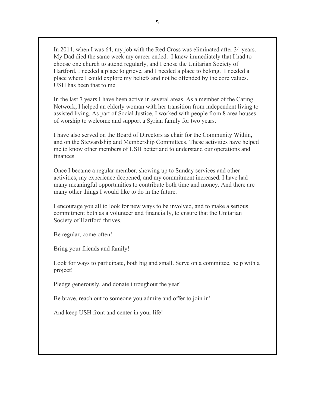In 2014, when I was 64, my job with the Red Cross was eliminated after 34 years. My Dad died the same week my career ended. I knew immediately that I had to choose one church to attend regularly, and I chose the Unitarian Society of Hartford. I needed a place to grieve, and I needed a place to belong. I needed a place where I could explore my beliefs and not be offended by the core values. USH has been that to me.

In the last 7 years I have been active in several areas. As a member of the Caring Network, I helped an elderly woman with her transition from independent living to assisted living. As part of Social Justice, I worked with people from 8 area houses of worship to welcome and support a Syrian family for two years.

I have also served on the Board of Directors as chair for the Community Within, and on the Stewardship and Membership Committees. These activities have helped me to know other members of USH better and to understand our operations and finances.

Once I became a regular member, showing up to Sunday services and other activities, my experience deepened, and my commitment increased. I have had many meaningful opportunities to contribute both time and money. And there are many other things I would like to do in the future.

I encourage you all to look for new ways to be involved, and to make a serious commitment both as a volunteer and financially, to ensure that the Unitarian Society of Hartford thrives.

Be regular, come often!

Bring your friends and family!

Look for ways to participate, both big and small. Serve on a committee, help with a project!

Pledge generously, and donate throughout the year!

Be brave, reach out to someone you admire and offer to join in!

And keep USH front and center in your life!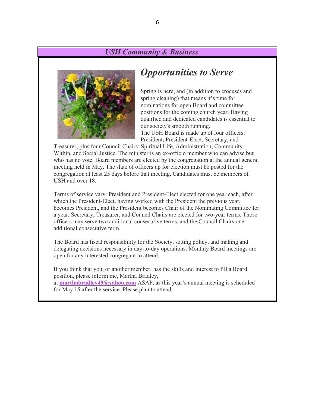### *USH Community & Business*



# *Opportunities to Serve*

Spring is here, and (in addition to crocuses and spring cleaning) that means it's time for nominations for open Board and committee positions for the coming church year. Having qualified and dedicated candidates is essential to our society's smooth running. The USH Board is made up of four officers: President, President-Elect, Secretary, and

Treasurer; plus four Council Chairs: Spiritual Life, Administration, Community Within, and Social Justice. The minister is an ex-officio member who can advise but who has no vote. Board members are elected by the congregation at the annual general meeting held in May. The slate of officers up for election must be posted for the congregation at least 25 days before that meeting. Candidates must be members of USH and over 18.

Terms of service vary: President and President-Elect elected for one year each, after which the President-Elect, having worked with the President the previous year, becomes President, and the President becomes Chair of the Nominating Committee for a year. Secretary, Treasurer, and Council Chairs are elected for two-year terms. Those officers may serve two additional consecutive terms, and the Council Chairs one additional consecutive term.

The Board has fiscal responsibility for the Society, setting policy, and making and delegating decisions necessary in day-to-day operations. Monthly Board meetings are open for any interested congregant to attend.

If you think that you, or another member, has the skills and interest to fill a Board position, please inform me, Martha Bradley, at **marthabradley49@yahoo.com** ASAP, as this year's annual meeting is scheduled for May 15 after the service. Please plan to attend.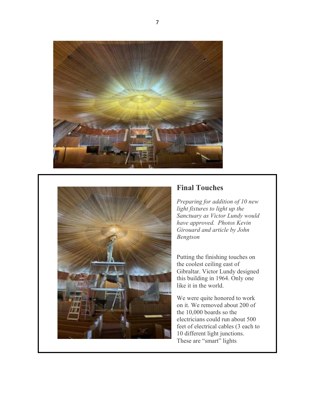



## **Final Touches**

*Preparing for addition of 10 new light fixtures to light up the Sanctuary as Victor Lundy would have approved. Photos Kevin Girouard and article by John Bengtson*

Putting the finishing touches on the coolest ceiling east of Gibraltar. Victor Lundy designed this building in 1964. Only one like it in the world.

We were quite honored to work on it. We removed about 200 of the 10,000 boards so the electricians could run about 500 feet of electrical cables (3 each to 10 different light junctions. These are "smart" lights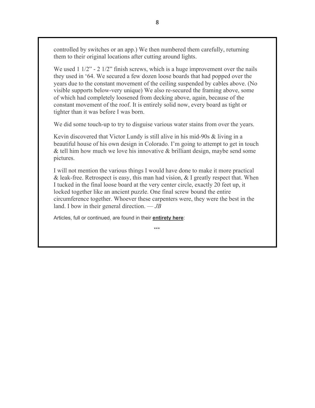controlled by switches or an app.) We then numbered them carefully, returning them to their original locations after cutting around lights.

We used 1 1/2" - 2 1/2" finish screws, which is a huge improvement over the nails they used in '64. We secured a few dozen loose boards that had popped over the years due to the constant movement of the ceiling suspended by cables above. (No visible supports below-very unique) We also re-secured the framing above, some of which had completely loosened from decking above, again, because of the constant movement of the roof. It is entirely solid now, every board as tight or tighter than it was before I was born.

We did some touch-up to try to disguise various water stains from over the years.

Kevin discovered that Victor Lundy is still alive in his mid-90s & living in a beautiful house of his own design in Colorado. I'm going to attempt to get in touch & tell him how much we love his innovative & brilliant design, maybe send some pictures.

I will not mention the various things I would have done to make it more practical & leak-free. Retrospect is easy, this man had vision,  $\&$  I greatly respect that. When I tucked in the final loose board at the very center circle, exactly 20 feet up, it locked together like an ancient puzzle. One final screw bound the entire circumference together. Whoever these carpenters were, they were the best in the land. I bow in their general direction. — *JB* 

Articles, full or continued, are found in their **entirety here**:

\*\*\*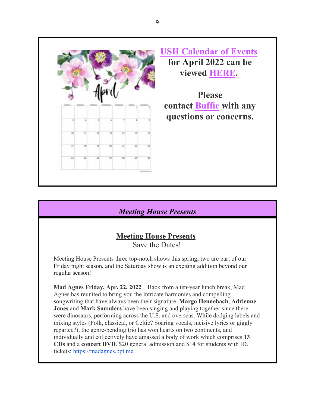

# **USH Calendar of Events for April 2022 can be viewed HERE.**

**Please contact Buffie with any questions or concerns.**

## *Meeting House Presents*

# **Meeting House Presents**

Save the Dates!

Meeting House Presents three top-notch shows this spring; two are part of our Friday night season, and the Saturday show is an exciting addition beyond our regular season!

**Mad Agnes Friday, Apr. 22, 2022** Back from a ten-year lunch break, Mad Agnes has reunited to bring you the intricate harmonies and compelling songwriting that have always been their signature. **Margo Hennebach**, **Adrienne Jones** and **Mark Saunders** have been singing and playing together since there were dinosaurs, performing across the U.S. and overseas. While dodging labels and mixing styles (Folk, classical, or Celtic? Soaring vocals, incisive lyrics or giggly repartee?), the genre-bending trio has won hearts on two continents, and individually and collectively have amassed a body of work which comprises **13 CDs** and a **concert DVD**. \$20 general admission and \$14 for students with ID. tickets: https://madagnes.bpt.me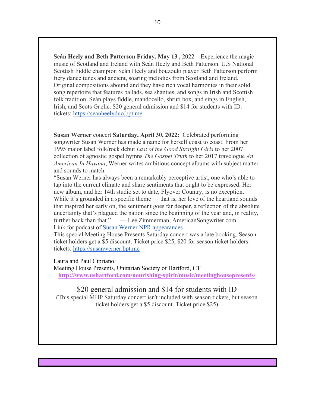**Seán Heely and Beth Patterson Friday, May 13 , 2022** Experience the magic music of Scotland and Ireland with Seán Heely and Beth Patterson. U.S National Scottish Fiddle champion Seán Heely and bouzouki player Beth Patterson perform fiery dance tunes and ancient, soaring melodies from Scotland and Ireland. Original compositions abound and they have rich vocal harmonies in their solid song repertoire that features ballads, sea shanties, and songs in Irish and Scottish folk tradition. Seán plays fiddle, mandocello, shruti box, and sings in English, Irish, and Scots Gaelic. \$20 general admission and \$14 for students with ID. tickets: https://seanheelyduo.bpt.me

**Susan Werner** concert **Saturday, April 30, 2022:** Celebrated performing songwriter Susan Werner has made a name for herself coast to coast. From her 1995 major label folk/rock debut *Last of the Good Straight Girls* to her 2007 collection of agnostic gospel hymns *The Gospel Truth* to her 2017 travelogue *An American In Havana*, Werner writes ambitious concept albums with subject matter and sounds to match.

"Susan Werner has always been a remarkably perceptive artist, one who's able to tap into the current climate and share sentiments that ought to be expressed. Her new album, and her 14th studio set to date, Flyover Country, is no exception. While it's grounded in a specific theme — that is, her love of the heartland sounds that inspired her early on, the sentiment goes far deeper, a reflection of the absolute uncertainty that's plagued the nation since the beginning of the year and, in reality, further back than that." — Lee Zimmerman, AmericanSongwriter.com Link for podcast of Susan Werner NPR appearances

This special Meeting House Presents Saturday concert was a late booking. Season ticket holders get a \$5 discount. Ticket price \$25, \$20 for season ticket holders. tickets: https://susanwerner.bpt.me

#### Laura and Paul Cipriano

Meeting House Presents, Unitarian Society of Hartford, CT **http://www.ushartford.com/nourishing-spirit/music/meetinghousepresents/**

#### \$20 general admission and \$14 for students with ID

(This special MHP Saturday concert isn't included with season tickets, but season ticket holders get a \$5 discount. Ticket price \$25)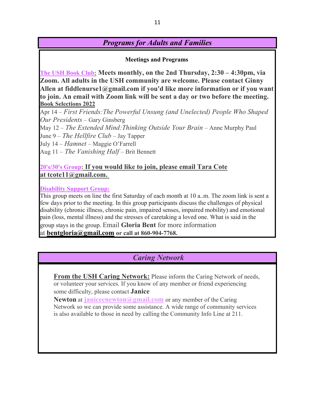# *Programs for Adults and Families*

**Meetings and Programs**

**The USH Book Club: Meets monthly, on the 2nd Thursday, 2:30 – 4:30pm, via Zoom. All adults in the USH community are welcome. Please contact Ginny Allen at fiddlenurse1@gmail.com if you'd like more information or if you want to join. An email with Zoom link will be sent a day or two before the meeting. Book Selections 2022**

Apr 14 – *First Friends:The Powerful Unsung (and Unelected) People Who Shaped Our Presidents* – Gary Ginsberg

May 12 – *The Extended Mind:Thinking Outside Your Brain* – Anne Murphy Paul

June 9 – *The Hellfire Club* – Jay Tapper

July 14 – *Hamnet* – Maggie O'Farrell

Aug 11 – *The Vanishing Half* – Brit Bennett

### **20's/30's Group: If you would like to join, please email Tara Cote at tcote11@gmail.com.**

**Disability Support Group:**

This group meets on line the first Saturday of each month at 10 a..m. The zoom link is sent a few days prior to the meeting. In this group participants discuss the challenges of physical disability (chronic illness, chronic pain, impaired senses, impaired mobility) and emotional pain (loss, mental illness) and the stresses of caretaking a loved one. What is said in the group stays in the group. Email **Gloria Bent** for more information at **bentgloria@gmail.com or call at 860-904-7768.**

## *Caring Network*

**From the USH Caring Network:** Please inform the Caring Network of needs, or volunteer your services. If you know of any member or friend experiencing some difficulty, please contact **Janice** 

**Newton** at **janicecnewton@gmail.com** or any member of the Caring Network so we can provide some assistance. A wide range of community services is also available to those in need by calling the Community Info Line at 211.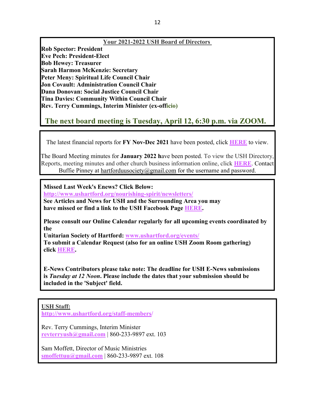#### **Your 2021-2022 USH Board of Directors**

**Rob Spector: President Eve Pech: President-Elect Bob Hewey: Treasurer Sarah Harmon McKenzie: Secretary Peter Meny: Spiritual Life Council Chair Jon Covault: Administration Council Chair Dana Donovan: Social Justice Council Chair Tina Davies: Community Within Council Chair Rev. Terry Cummings, Interim Minister (ex-officio)**

# **The next board meeting is Tuesday, April 12, 6:30 p.m. via ZOOM.**

The latest financial reports for **FY Nov-Dec 2021** have been posted, click **HERE** to view.

The Board Meeting minutes for **January 2022 h**ave been posted. To view the USH Directory, Reports, meeting minutes and other church business information online, click **HERE**. Contact Buffie Pinney at hartforduusociety@gmail.com for the username and password.

**Missed Last Week's Enews? Click Below: http://www.ushartford.org/nourishing-spirit/newsletters/**

**See Articles and News for USH and the Surrounding Area you may have missed or find a link to the USH Facebook Page HERE.**

**Please consult our Online Calendar regularly for all upcoming events coordinated by the**

**Unitarian Society of Hartford: www.ushartford.org/events/ To submit a Calendar Request (also for an online USH Zoom Room gathering) click HERE.**

**E-News Contributors please take note: The deadline for USH E-News submissions is** *Tuesday at 12 Noon***. Please include the dates that your submission should be included in the 'Subject' field.**

### **USH Staff:**

**http://www.ushartford.org/staff-members/**

Rev. Terry Cummings, Interim Minister **revterryush@gmail.com** | 860-233-9897 ext. 103

Sam Moffett, Director of Music Ministries **smoffettuu@gmail.com** | 860-233-9897 ext. 108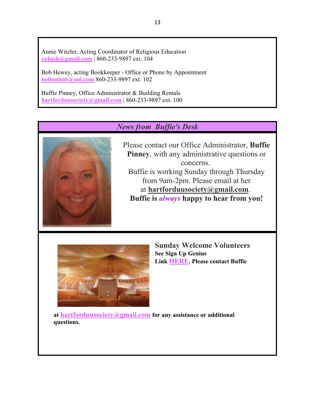Annie Witzler, Acting Coordinator of Religious Education **re4ush@gmail.com** | 860-233-9897 ext. 104

Bob Hewey, acting Bookkeeper - Office or Phone by Appointment **boltonbob@aol.com** 860-233-9897 ext. 102

Buffie Pinney, Office Administrator & Building Rentals **hartforduusociety@gmail.com** | 860-233-9897 ext. 100

# *News from Buffie's Desk*



Please contact our Office Administrator, **Buffie Pinney**, with any administrative questions or concerns. Buffie is working Sunday through Thursday from 9am-2pm. Please email at her at **hartforduusociety@gmail.com**. **Buffie is** *always* **happy to hear from you!**



**Sunday Welcome Volunteers See Sign Up Genius Link HERE. Please contact Buffie** 

**at hartforduusociety@gmail.com for any assistance or additional questions.**